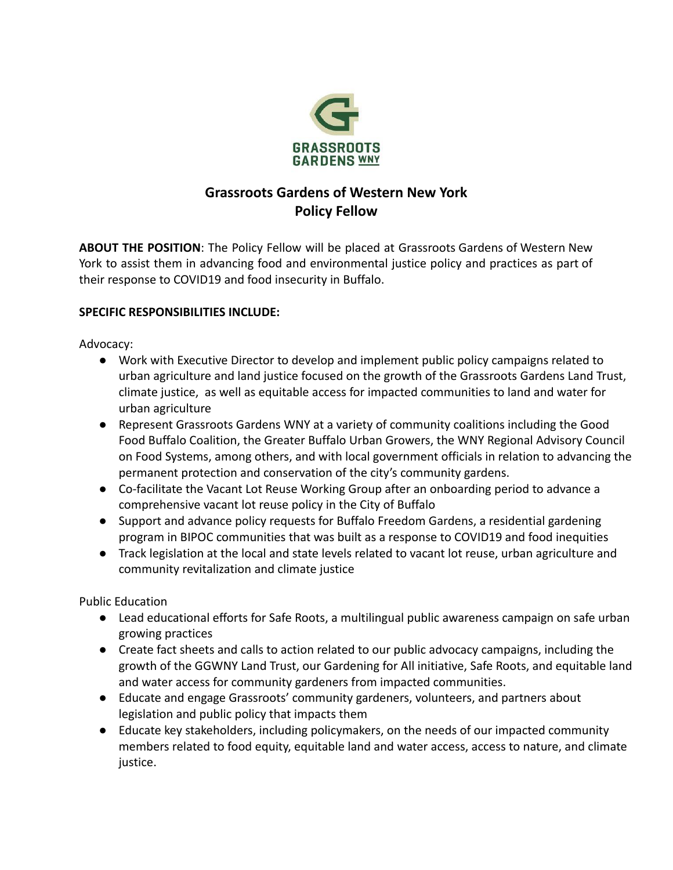

# **Grassroots Gardens of Western New York Policy Fellow**

**ABOUT THE POSITION**: The Policy Fellow will be placed at Grassroots Gardens of Western New York to assist them in advancing food and environmental justice policy and practices as part of their response to COVID19 and food insecurity in Buffalo.

#### **SPECIFIC RESPONSIBILITIES INCLUDE:**

Advocacy:

- Work with Executive Director to develop and implement public policy campaigns related to urban agriculture and land justice focused on the growth of the Grassroots Gardens Land Trust, climate justice, as well as equitable access for impacted communities to land and water for urban agriculture
- Represent Grassroots Gardens WNY at a variety of community coalitions including the Good Food Buffalo Coalition, the Greater Buffalo Urban Growers, the WNY Regional Advisory Council on Food Systems, among others, and with local government officials in relation to advancing the permanent protection and conservation of the city's community gardens.
- Co-facilitate the Vacant Lot Reuse Working Group after an onboarding period to advance a comprehensive vacant lot reuse policy in the City of Buffalo
- Support and advance policy requests for Buffalo Freedom Gardens, a residential gardening program in BIPOC communities that was built as a response to COVID19 and food inequities
- Track legislation at the local and state levels related to vacant lot reuse, urban agriculture and community revitalization and climate justice

Public Education

- Lead educational efforts for Safe Roots, a multilingual public awareness campaign on safe urban growing practices
- Create fact sheets and calls to action related to our public advocacy campaigns, including the growth of the GGWNY Land Trust, our Gardening for All initiative, Safe Roots, and equitable land and water access for community gardeners from impacted communities.
- Educate and engage Grassroots' community gardeners, volunteers, and partners about legislation and public policy that impacts them
- Educate key stakeholders, including policymakers, on the needs of our impacted community members related to food equity, equitable land and water access, access to nature, and climate justice.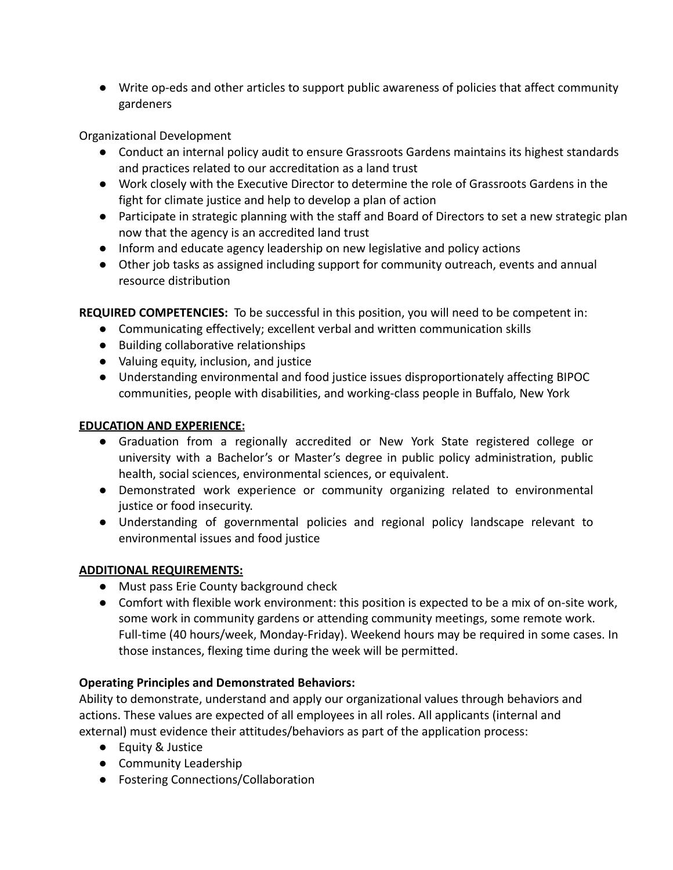● Write op-eds and other articles to support public awareness of policies that affect community gardeners

Organizational Development

- Conduct an internal policy audit to ensure Grassroots Gardens maintains its highest standards and practices related to our accreditation as a land trust
- Work closely with the Executive Director to determine the role of Grassroots Gardens in the fight for climate justice and help to develop a plan of action
- Participate in strategic planning with the staff and Board of Directors to set a new strategic plan now that the agency is an accredited land trust
- Inform and educate agency leadership on new legislative and policy actions
- Other job tasks as assigned including support for community outreach, events and annual resource distribution

**REQUIRED COMPETENCIES:** To be successful in this position, you will need to be competent in:

- Communicating effectively; excellent verbal and written communication skills
- Building collaborative relationships
- Valuing equity, inclusion, and justice
- Understanding environmental and food justice issues disproportionately affecting BIPOC communities, people with disabilities, and working-class people in Buffalo, New York

### **EDUCATION AND EXPERIENCE:**

- Graduation from a regionally accredited or New York State registered college or university with a Bachelor's or Master's degree in public policy administration, public health, social sciences, environmental sciences, or equivalent.
- Demonstrated work experience or community organizing related to environmental justice or food insecurity.
- Understanding of governmental policies and regional policy landscape relevant to environmental issues and food justice

## **ADDITIONAL REQUIREMENTS:**

- Must pass Erie County background check
- Comfort with flexible work environment: this position is expected to be a mix of on-site work, some work in community gardens or attending community meetings, some remote work. Full-time (40 hours/week, Monday-Friday). Weekend hours may be required in some cases. In those instances, flexing time during the week will be permitted.

### **Operating Principles and Demonstrated Behaviors:**

Ability to demonstrate, understand and apply our organizational values through behaviors and actions. These values are expected of all employees in all roles. All applicants (internal and external) must evidence their attitudes/behaviors as part of the application process:

- Equity & Justice
- Community Leadership
- Fostering Connections/Collaboration